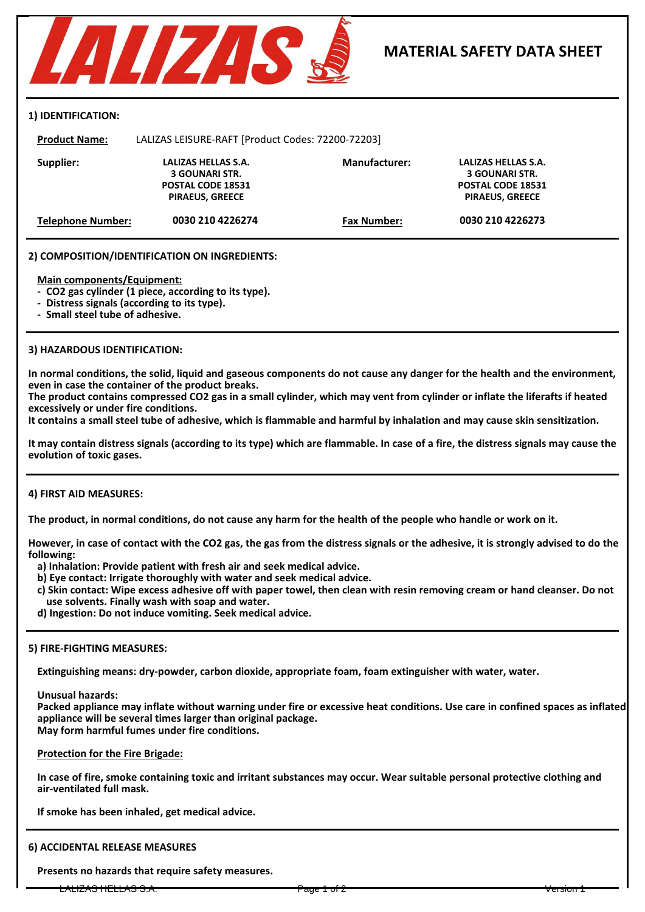

#### **1) IDENTIFICATION:**

**Product Name:** LALIZAS LEISURE-RAFT [Product Codes: 72200-72203] **Supplier: Manufacturer: LALIZAS HELLAS S.A. Telephone Number: Fax Number: POSTAL CODE 18531 PIRAEUS, GREECE 0030 210 4226274 0030 210 4226273 POSTAL CODE 18531 PIRAEUS, GREECE 3 GOUNARI STR. LALIZAS HELLAS S.A. 3 GOUNARI STR.**

#### **2) COMPOSITION/IDENTIFICATION ON INGREDIENTS:**

**Main components/Equipment:**

**- CO2 gas cylinder (1 piece, according to its type).**

**- Distress signals (according to its type).**

**- Small steel tube of adhesive.**

#### **3) HAZARDOUS IDENTIFICATION:**

**In normal conditions, the solid, liquid and gaseous components do not cause any danger for the health and the environment, even in case the container of the product breaks.**

**The product contains compressed CO2 gas in a small cylinder, which may vent from cylinder or inflate the liferafts if heated excessively or under fire conditions.** 

**It contains a small steel tube of adhesive, which is flammable and harmful by inhalation and may cause skin sensitization.**

**It may contain distress signals (according to its type) which are flammable. In case of a fire, the distress signals may cause the evolution of toxic gases.**

### **4) FIRST AID MEASURES:**

**The product, in normal conditions, do not cause any harm for the health of the people who handle or work on it.**

**However, in case of contact with the CO2 gas, the gas from the distress signals or the adhesive, it is strongly advised to do the following:**

**a) Inhalation: Provide patient with fresh air and seek medical advice.**

**b) Eye contact: Irrigate thoroughly with water and seek medical advice.**

**c) Skin contact: Wipe excess adhesive off with paper towel, then clean with resin removing cream or hand cleanser. Do not use solvents. Finally wash with soap and water.**

**d) Ingestion: Do not induce vomiting. Seek medical advice.**

#### **5) FIRE-FIGHTING MEASURES:**

**Extinguishing means: dry-powder, carbon dioxide, appropriate foam, foam extinguisher with water, water.**

**Unusual hazards:**

**Packed appliance may inflate without warning under fire or excessive heat conditions. Use care in confined spaces as inflated appliance will be several times larger than original package. May form harmful fumes under fire conditions.**

**Protection for the Fire Brigade:**

**In case of fire, smoke containing toxic and irritant substances may occur. Wear suitable personal protective clothing and air-ventilated full mask.**

**If smoke has been inhaled, get medical advice.**

# **6) ACCIDENTAL RELEASE MEASURES**

**Presents no hazards that require safety measures.**